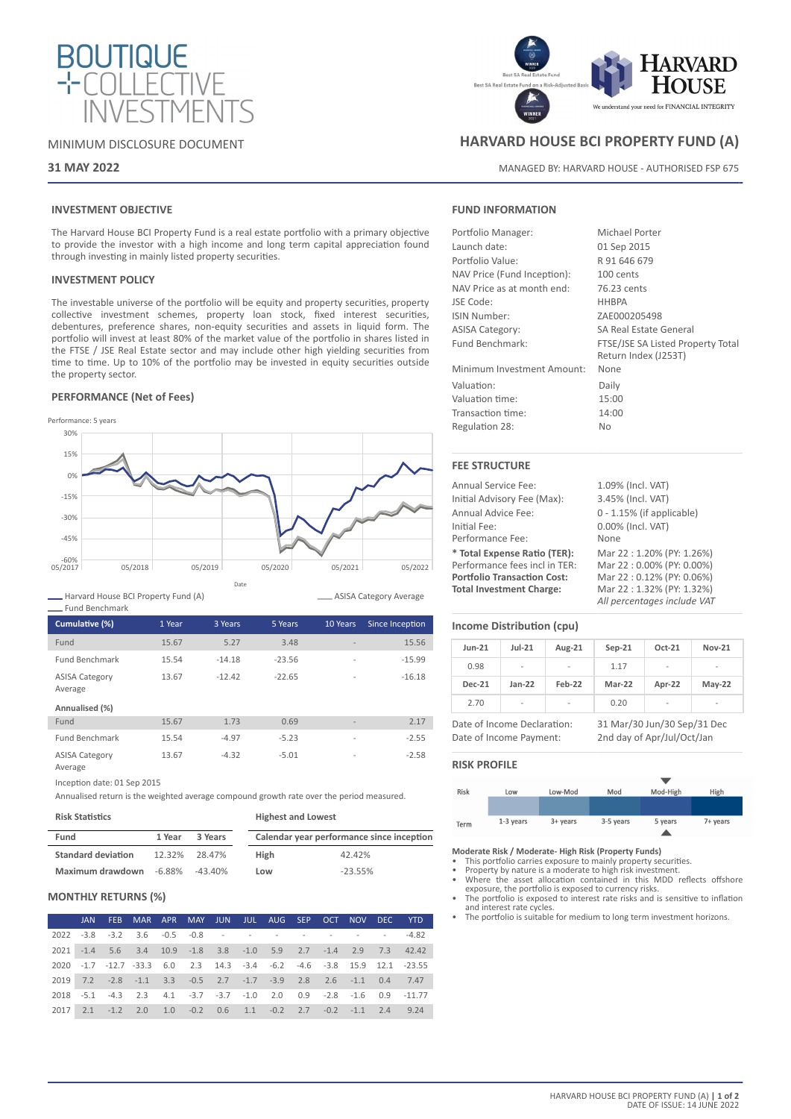

### MINIMUM DISCLOSURE DOCUMENT

### **31 MAY 2022**

## **INVESTMENT OBJECTIVE**

The Harvard House BCI Property Fund is a real estate portfolio with a primary objective to provide the investor with a high income and long term capital appreciation found through investing in mainly listed property securities.

### **INVESTMENT POLICY**

The investable universe of the portfolio will be equity and property securities, property collective investment schemes, property loan stock, fixed interest securities, debentures, preference shares, non-equity securities and assets in liquid form. The portfolio will invest at least 80% of the market value of the portfolio in shares listed in the FTSE / JSE Real Estate sector and may include other high yielding securities from time to time. Up to 10% of the portfolio may be invested in equity securities outside the property sector.

### **PERFORMANCE (Net of Fees)**



Harvard House BCI Property Fund (A)

| Cumulative (%)                   | 1 Year | 3 Years  | 5 Years  | 10 Years                 | Since Inception |
|----------------------------------|--------|----------|----------|--------------------------|-----------------|
| Fund                             | 15.67  | 5.27     | 3.48     | $\overline{\phantom{a}}$ | 15.56           |
| <b>Fund Benchmark</b>            | 15.54  | $-14.18$ | $-23.56$ | $\overline{a}$           | $-15.99$        |
| <b>ASISA Category</b><br>Average | 13.67  | $-12.42$ | $-22.65$ | $\overline{a}$           | $-16.18$        |
| Annualised (%)                   |        |          |          |                          |                 |
| Fund                             | 15.67  | 1.73     | 0.69     | $\overline{a}$           | 2.17            |
| <b>Fund Benchmark</b>            | 15.54  | $-4.97$  | $-5.23$  | $\overline{a}$           | $-2.55$         |
| <b>ASISA Category</b>            | 13.67  | $-4.32$  | $-5.01$  | $\overline{a}$           | $-2.58$         |

Average

Inception date: 01 Sep 2015

Annualised return is the weighted average compound growth rate over the period measured.

#### **Risk Statistics**

| Fund                      | 1 Year<br>3 Years |         | Calendar year performance since inception |           |  |
|---------------------------|-------------------|---------|-------------------------------------------|-----------|--|
| <b>Standard deviation</b> | 12.32%            | 28.47%  | <b>High</b>                               | 42.42%    |  |
| Maximum drawdown          | -6.88%            | -43.40% | Low                                       | $-23.55%$ |  |

**Highest and Lowest**

# **MONTHLY RETURNS (%)**

|  |                                                                |  |  |  |  |  | JAN FEB MAR APR MAY JUN JUL AUG SEP OCT NOV DEC YTD                     |
|--|----------------------------------------------------------------|--|--|--|--|--|-------------------------------------------------------------------------|
|  |                                                                |  |  |  |  |  |                                                                         |
|  |                                                                |  |  |  |  |  | 2021 -1.4 5.6 3.4 10.9 -1.8 3.8 -1.0 5.9 2.7 -1.4 2.9 7.3 42.42         |
|  |                                                                |  |  |  |  |  | 2020 -1.7 -12.7 -33.3 6.0 2.3 14.3 -3.4 -6.2 -4.6 -3.8 15.9 12.1 -23.55 |
|  |                                                                |  |  |  |  |  | 2019 7.2 -2.8 -1.1 3.3 -0.5 2.7 -1.7 -3.9 2.8 2.6 -1.1 0.4 7.47         |
|  |                                                                |  |  |  |  |  | 2018 -5.1 -4.3 2.3 4.1 -3.7 -3.7 -1.0 2.0 0.9 -2.8 -1.6 0.9 -11.77      |
|  | 2017 2.1 -1.2 2.0 1.0 -0.2 0.6 1.1 -0.2 2.7 -0.2 -1.1 2.4 9.24 |  |  |  |  |  |                                                                         |



# **HARVARD HOUSE BCI PROPERTY FUND (A)**

MANAGED BY: HARVARD HOUSE - AUTHORISED FSP 675

01 Sep 2015 R 91 646 679  $100$  cants 76.23 cents HHBPA 7AF000205498 SA Real Estate General

### **FUND INFORMATION**

| Portfolio Manager:          | <b>Michael Porter</b> |
|-----------------------------|-----------------------|
| Launch date:                | 01 Sep 2015           |
| Portfolio Value:            | R 91 646 679          |
| NAV Price (Fund Inception): | 100 cents             |
| NAV Price as at month end:  | 76.23 cents           |
| JSE Code:                   | <b>HHBPA</b>          |
| <b>ISIN Number:</b>         | ZAE000205498          |
| <b>ASISA Category:</b>      | SA Real Estate        |
| Fund Benchmark:             | FTSE/JSE SA Lis       |
|                             | Return Index (J       |

Minimum Investment Amount: None Valuation: Daily Valuation time: 15:00 Transaction time: 14:00 Regulation 28: No

### **FEE STRUCTURE**

| <b>Annual Service Fee:</b>         | 1.09%    |
|------------------------------------|----------|
| Initial Advisory Fee (Max):        | 3.45%    |
| Annual Advice Fee:                 | $0 - 1.$ |
| Initial Fee:                       | 0.00%    |
| Performance Fee:                   | None     |
| * Total Expense Ratio (TER):       | Mar:     |
| Performance fees incl in TER:      | Mar:     |
| <b>Portfolio Transaction Cost:</b> | Mar:     |
| <b>Total Investment Charge:</b>    | Mar:     |

1.09% (Incl. VAT) 3.45% (Incl. VAT) 0 - 1.15% (if applicable) 0.00% (Incl. VAT)  $\text{Mar } 22 : 1.20\% \text{ (PY: } 1.26\%)$ Mar 22 : 0.00% (PY: 0.00%) **Portfolio Transaction Cost:** Mar 22 : 0.12% (PY: 0.06%) **Total Investment Charge:** Mar 22 : 1.32% (PY: 1.32%) *All percentages include VAT*

FTSE/JSE SA Listed Property Total

Return Index (J253T)

### **Income Distribution (cpu)**

| <b>Jun-21</b> | $Jul-21$ | Aug-21 | $Sep-21$ | Oct-21                   | <b>Nov-21</b> |
|---------------|----------|--------|----------|--------------------------|---------------|
| 0.98          | ۰        | ۰      | 1.17     | $\overline{\phantom{a}}$ | ۰             |
| <b>Dec-21</b> | $Jan-22$ | Feb-22 | Mar-22   | Apr-22                   | $May-22$      |
| 2.70          | ۰        | -      | 0.20     | $\overline{\phantom{a}}$ | ٠             |

Date of Income Payment: 2nd day of Apr/Jul/Oct/Jan

Date of Income Declaration: 31 Mar/30 Jun/30 Sep/31 Dec

### **RISK PROFILE**

ASISA Category Average



**Moderate Risk / Moderate- High Risk (Property Funds)**

• This portfolio carries exposure to mainly property securities.

- Property by nature is a moderate to high risk investment. Where the asset allocation contained in this MDD reflects offshore exposure, the portfolio is exposed to currency risks.
- The portfolio is exposed to interest rate risks and is sensitive to inflation and interest rate cycles.
- The portfolio is suitable for medium to long term investment horizons.